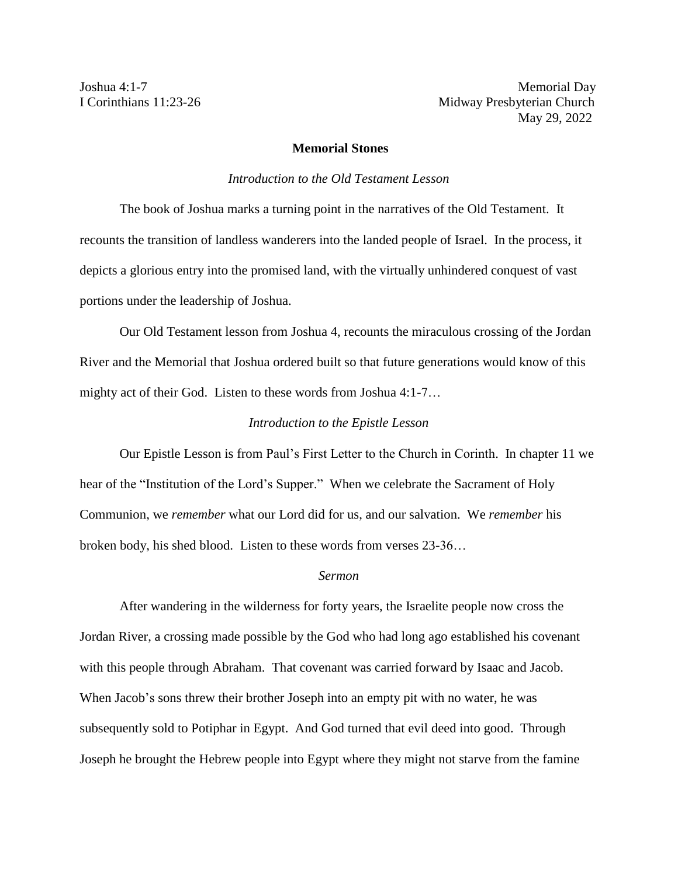Joshua 4:1-7 Memorial Day I Corinthians 11:23-26 Midway Presbyterian Church May 29, 2022

## **Memorial Stones**

## *Introduction to the Old Testament Lesson*

The book of Joshua marks a turning point in the narratives of the Old Testament. It recounts the transition of landless wanderers into the landed people of Israel. In the process, it depicts a glorious entry into the promised land, with the virtually unhindered conquest of vast portions under the leadership of Joshua.

Our Old Testament lesson from Joshua 4, recounts the miraculous crossing of the Jordan River and the Memorial that Joshua ordered built so that future generations would know of this mighty act of their God. Listen to these words from Joshua 4:1-7…

## *Introduction to the Epistle Lesson*

Our Epistle Lesson is from Paul's First Letter to the Church in Corinth. In chapter 11 we hear of the "Institution of the Lord's Supper." When we celebrate the Sacrament of Holy Communion, we *remember* what our Lord did for us, and our salvation. We *remember* his broken body, his shed blood. Listen to these words from verses 23-36…

## *Sermon*

After wandering in the wilderness for forty years, the Israelite people now cross the Jordan River, a crossing made possible by the God who had long ago established his covenant with this people through Abraham. That covenant was carried forward by Isaac and Jacob. When Jacob's sons threw their brother Joseph into an empty pit with no water, he was subsequently sold to Potiphar in Egypt. And God turned that evil deed into good. Through Joseph he brought the Hebrew people into Egypt where they might not starve from the famine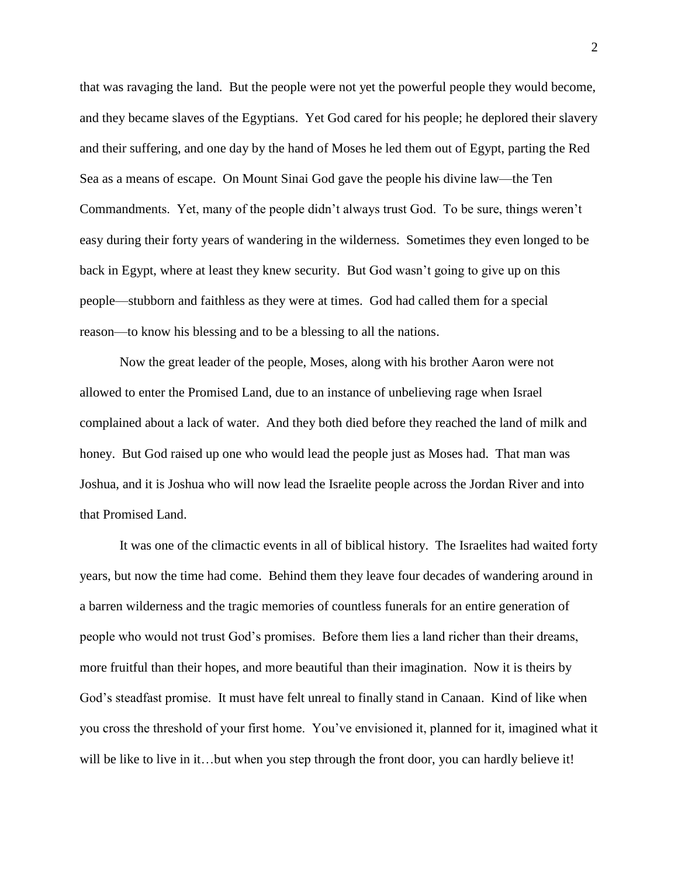that was ravaging the land. But the people were not yet the powerful people they would become, and they became slaves of the Egyptians. Yet God cared for his people; he deplored their slavery and their suffering, and one day by the hand of Moses he led them out of Egypt, parting the Red Sea as a means of escape. On Mount Sinai God gave the people his divine law—the Ten Commandments. Yet, many of the people didn't always trust God. To be sure, things weren't easy during their forty years of wandering in the wilderness. Sometimes they even longed to be back in Egypt, where at least they knew security. But God wasn't going to give up on this people—stubborn and faithless as they were at times. God had called them for a special reason—to know his blessing and to be a blessing to all the nations.

Now the great leader of the people, Moses, along with his brother Aaron were not allowed to enter the Promised Land, due to an instance of unbelieving rage when Israel complained about a lack of water. And they both died before they reached the land of milk and honey. But God raised up one who would lead the people just as Moses had. That man was Joshua, and it is Joshua who will now lead the Israelite people across the Jordan River and into that Promised Land.

It was one of the climactic events in all of biblical history. The Israelites had waited forty years, but now the time had come. Behind them they leave four decades of wandering around in a barren wilderness and the tragic memories of countless funerals for an entire generation of people who would not trust God's promises. Before them lies a land richer than their dreams, more fruitful than their hopes, and more beautiful than their imagination. Now it is theirs by God's steadfast promise. It must have felt unreal to finally stand in Canaan. Kind of like when you cross the threshold of your first home. You've envisioned it, planned for it, imagined what it will be like to live in it…but when you step through the front door, you can hardly believe it!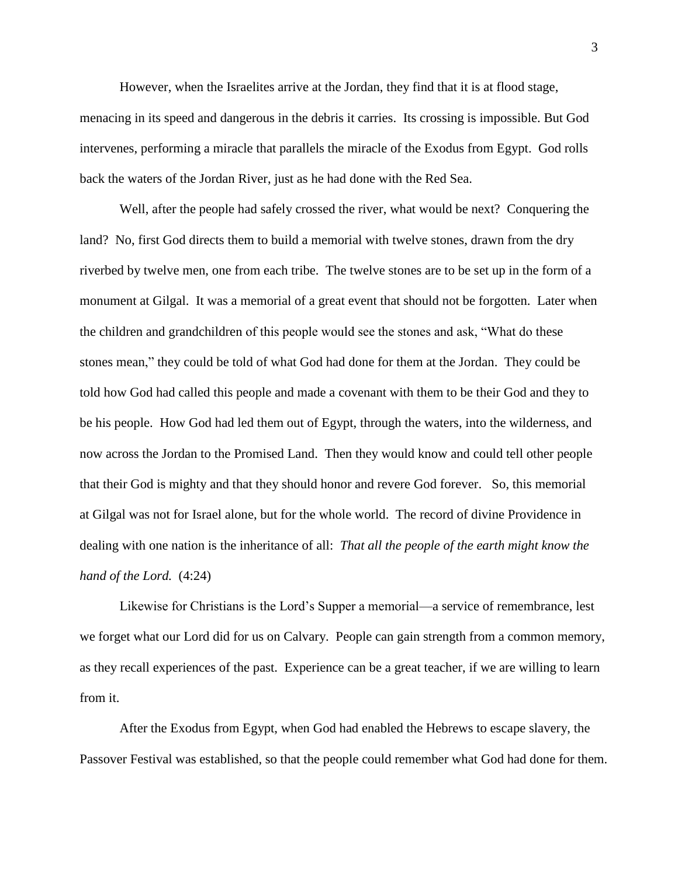However, when the Israelites arrive at the Jordan, they find that it is at flood stage, menacing in its speed and dangerous in the debris it carries. Its crossing is impossible. But God intervenes, performing a miracle that parallels the miracle of the Exodus from Egypt. God rolls back the waters of the Jordan River, just as he had done with the Red Sea.

Well, after the people had safely crossed the river, what would be next? Conquering the land? No, first God directs them to build a memorial with twelve stones, drawn from the dry riverbed by twelve men, one from each tribe. The twelve stones are to be set up in the form of a monument at Gilgal. It was a memorial of a great event that should not be forgotten. Later when the children and grandchildren of this people would see the stones and ask, "What do these stones mean," they could be told of what God had done for them at the Jordan. They could be told how God had called this people and made a covenant with them to be their God and they to be his people. How God had led them out of Egypt, through the waters, into the wilderness, and now across the Jordan to the Promised Land. Then they would know and could tell other people that their God is mighty and that they should honor and revere God forever. So, this memorial at Gilgal was not for Israel alone, but for the whole world. The record of divine Providence in dealing with one nation is the inheritance of all: *That all the people of the earth might know the hand of the Lord.* (4:24)

Likewise for Christians is the Lord's Supper a memorial—a service of remembrance, lest we forget what our Lord did for us on Calvary. People can gain strength from a common memory, as they recall experiences of the past. Experience can be a great teacher, if we are willing to learn from it.

After the Exodus from Egypt, when God had enabled the Hebrews to escape slavery, the Passover Festival was established, so that the people could remember what God had done for them.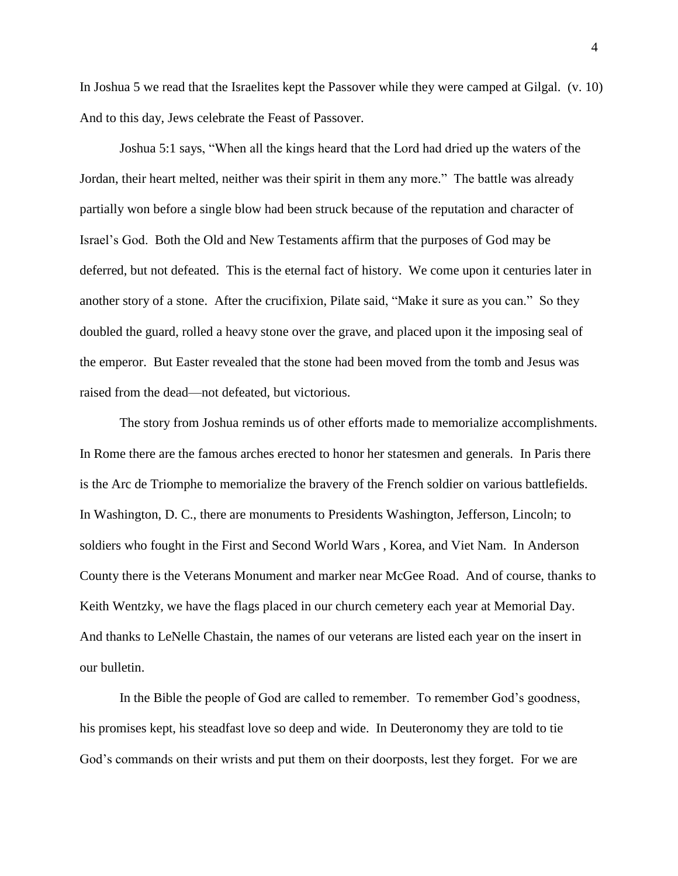In Joshua 5 we read that the Israelites kept the Passover while they were camped at Gilgal. (v. 10) And to this day, Jews celebrate the Feast of Passover.

Joshua 5:1 says, "When all the kings heard that the Lord had dried up the waters of the Jordan, their heart melted, neither was their spirit in them any more." The battle was already partially won before a single blow had been struck because of the reputation and character of Israel's God. Both the Old and New Testaments affirm that the purposes of God may be deferred, but not defeated. This is the eternal fact of history. We come upon it centuries later in another story of a stone. After the crucifixion, Pilate said, "Make it sure as you can." So they doubled the guard, rolled a heavy stone over the grave, and placed upon it the imposing seal of the emperor. But Easter revealed that the stone had been moved from the tomb and Jesus was raised from the dead—not defeated, but victorious.

The story from Joshua reminds us of other efforts made to memorialize accomplishments. In Rome there are the famous arches erected to honor her statesmen and generals. In Paris there is the Arc de Triomphe to memorialize the bravery of the French soldier on various battlefields. In Washington, D. C., there are monuments to Presidents Washington, Jefferson, Lincoln; to soldiers who fought in the First and Second World Wars , Korea, and Viet Nam. In Anderson County there is the Veterans Monument and marker near McGee Road. And of course, thanks to Keith Wentzky, we have the flags placed in our church cemetery each year at Memorial Day. And thanks to LeNelle Chastain, the names of our veterans are listed each year on the insert in our bulletin.

In the Bible the people of God are called to remember. To remember God's goodness, his promises kept, his steadfast love so deep and wide. In Deuteronomy they are told to tie God's commands on their wrists and put them on their doorposts, lest they forget. For we are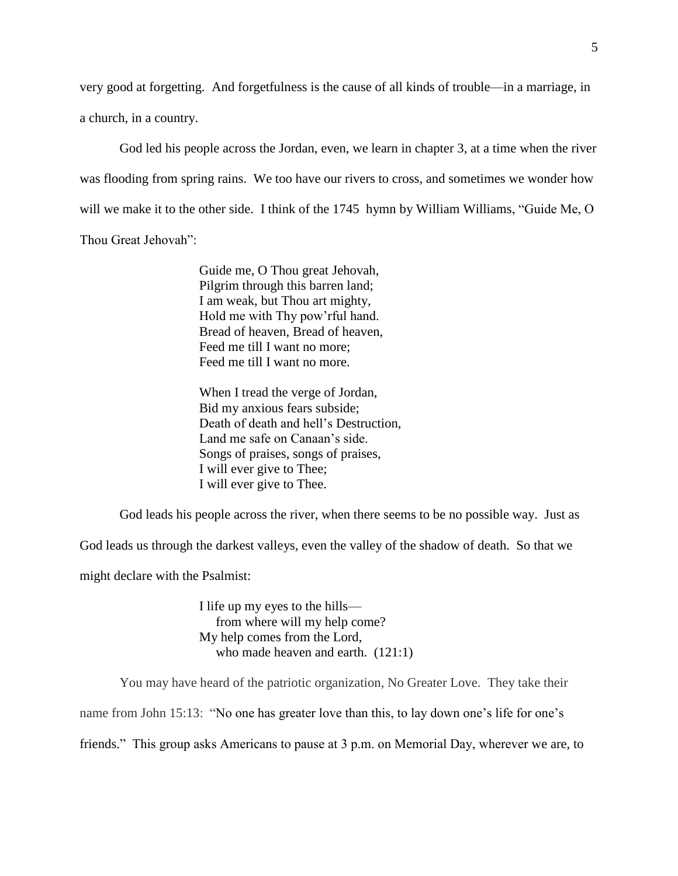very good at forgetting. And forgetfulness is the cause of all kinds of trouble—in a marriage, in a church, in a country.

God led his people across the Jordan, even, we learn in chapter 3, at a time when the river was flooding from spring rains. We too have our rivers to cross, and sometimes we wonder how will we make it to the other side. I think of the 1745 hymn by William Williams, "Guide Me, O Thou Great Jehovah":

> Guide me, O Thou great Jehovah, Pilgrim through this barren land; I am weak, but Thou art mighty, Hold me with Thy pow'rful hand. Bread of heaven, Bread of heaven, Feed me till I want no more; Feed me till I want no more.

When I tread the verge of Jordan, Bid my anxious fears subside; Death of death and hell's Destruction, Land me safe on Canaan's side. Songs of praises, songs of praises, I will ever give to Thee; I will ever give to Thee.

God leads his people across the river, when there seems to be no possible way. Just as

God leads us through the darkest valleys, even the valley of the shadow of death. So that we

might declare with the Psalmist:

I life up my eyes to the hills from where will my help come? My help comes from the Lord, who made heaven and earth. (121:1)

You may have heard of the patriotic organization, No Greater Love. They take their

name from John 15:13: "No one has greater love than this, to lay down one's life for one's

friends." This group asks Americans to pause at 3 p.m. on Memorial Day, wherever we are, to